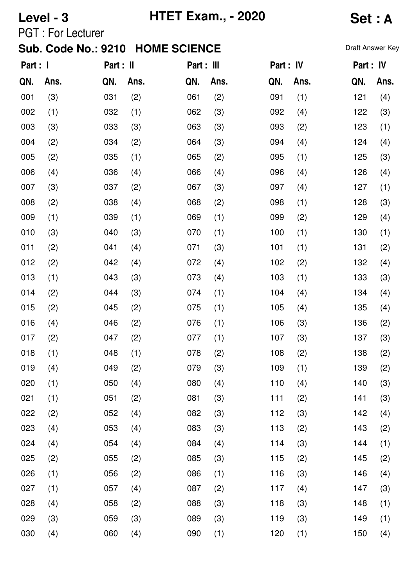# **Level - 3 HTET Exam., - 2020 Set : A**

PGT : For Lecturer

| Part : I |      | Part : II |      | Part : III |      | Part : IV |      | Part : IV |      |
|----------|------|-----------|------|------------|------|-----------|------|-----------|------|
| QN.      | Ans. | QN.       | Ans. | QN.        | Ans. | QN.       | Ans. | QN.       | Ans. |
| 001      | (3)  | 031       | (2)  | 061        | (2)  | 091       | (1)  | 121       | (4)  |
| 002      | (1)  | 032       | (1)  | 062        | (3)  | 092       | (4)  | 122       | (3)  |
| 003      | (3)  | 033       | (3)  | 063        | (3)  | 093       | (2)  | 123       | (1)  |
| 004      | (2)  | 034       | (2)  | 064        | (3)  | 094       | (4)  | 124       | (4)  |
| 005      | (2)  | 035       | (1)  | 065        | (2)  | 095       | (1)  | 125       | (3)  |
| 006      | (4)  | 036       | (4)  | 066        | (4)  | 096       | (4)  | 126       | (4)  |
| 007      | (3)  | 037       | (2)  | 067        | (3)  | 097       | (4)  | 127       | (1)  |
| 008      | (2)  | 038       | (4)  | 068        | (2)  | 098       | (1)  | 128       | (3)  |
| 009      | (1)  | 039       | (1)  | 069        | (1)  | 099       | (2)  | 129       | (4)  |
| 010      | (3)  | 040       | (3)  | 070        | (1)  | 100       | (1)  | 130       | (1)  |
| 011      | (2)  | 041       | (4)  | 071        | (3)  | 101       | (1)  | 131       | (2)  |
| 012      | (2)  | 042       | (4)  | 072        | (4)  | 102       | (2)  | 132       | (4)  |
| 013      | (1)  | 043       | (3)  | 073        | (4)  | 103       | (1)  | 133       | (3)  |
| 014      | (2)  | 044       | (3)  | 074        | (1)  | 104       | (4)  | 134       | (4)  |
| 015      | (2)  | 045       | (2)  | 075        | (1)  | 105       | (4)  | 135       | (4)  |
| 016      | (4)  | 046       | (2)  | 076        | (1)  | 106       | (3)  | 136       | (2)  |
| 017      | (2)  | 047       | (2)  | 077        | (1)  | 107       | (3)  | 137       | (3)  |
| 018      | (1)  | 048       | (1)  | 078        | (2)  | 108       | (2)  | 138       | (2)  |
| 019      | (4)  | 049       | (2)  | 079        | (3)  | 109       | (1)  | 139       | (2)  |
| 020      | (1)  | 050       | (4)  | 080        | (4)  | 110       | (4)  | 140       | (3)  |
| 021      | (1)  | 051       | (2)  | 081        | (3)  | 111       | (2)  | 141       | (3)  |
| 022      | (2)  | 052       | (4)  | 082        | (3)  | 112       | (3)  | 142       | (4)  |
| 023      | (4)  | 053       | (4)  | 083        | (3)  | 113       | (2)  | 143       | (2)  |
| 024      | (4)  | 054       | (4)  | 084        | (4)  | 114       | (3)  | 144       | (1)  |
| 025      | (2)  | 055       | (2)  | 085        | (3)  | 115       | (2)  | 145       | (2)  |
| 026      | (1)  | 056       | (2)  | 086        | (1)  | 116       | (3)  | 146       | (4)  |
| 027      | (1)  | 057       | (4)  | 087        | (2)  | 117       | (4)  | 147       | (3)  |
| 028      | (4)  | 058       | (2)  | 088        | (3)  | 118       | (3)  | 148       | (1)  |
| 029      | (3)  | 059       | (3)  | 089        | (3)  | 119       | (3)  | 149       | (1)  |
| 030      | (4)  | 060       | (4)  | 090        | (1)  | 120       | (1)  | 150       | (4)  |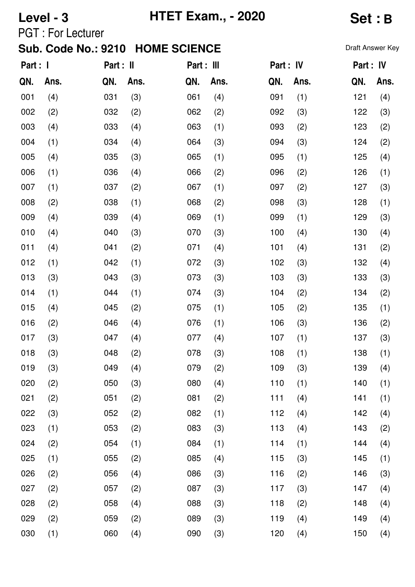# **Level - 3 HTET Exam., - 2020 Set : B**

PGT : For Lecturer

| Part : I |      | Part : II |      | Part : III |      | Part : IV |      | Part : IV |      |
|----------|------|-----------|------|------------|------|-----------|------|-----------|------|
| QN.      | Ans. | QN.       | Ans. | QN.        | Ans. | QN.       | Ans. | QN.       | Ans. |
| 001      | (4)  | 031       | (3)  | 061        | (4)  | 091       | (1)  | 121       | (4)  |
| 002      | (2)  | 032       | (2)  | 062        | (2)  | 092       | (3)  | 122       | (3)  |
| 003      | (4)  | 033       | (4)  | 063        | (1)  | 093       | (2)  | 123       | (2)  |
| 004      | (1)  | 034       | (4)  | 064        | (3)  | 094       | (3)  | 124       | (2)  |
| 005      | (4)  | 035       | (3)  | 065        | (1)  | 095       | (1)  | 125       | (4)  |
| 006      | (1)  | 036       | (4)  | 066        | (2)  | 096       | (2)  | 126       | (1)  |
| 007      | (1)  | 037       | (2)  | 067        | (1)  | 097       | (2)  | 127       | (3)  |
| 008      | (2)  | 038       | (1)  | 068        | (2)  | 098       | (3)  | 128       | (1)  |
| 009      | (4)  | 039       | (4)  | 069        | (1)  | 099       | (1)  | 129       | (3)  |
| 010      | (4)  | 040       | (3)  | 070        | (3)  | 100       | (4)  | 130       | (4)  |
| 011      | (4)  | 041       | (2)  | 071        | (4)  | 101       | (4)  | 131       | (2)  |
| 012      | (1)  | 042       | (1)  | 072        | (3)  | 102       | (3)  | 132       | (4)  |
| 013      | (3)  | 043       | (3)  | 073        | (3)  | 103       | (3)  | 133       | (3)  |
| 014      | (1)  | 044       | (1)  | 074        | (3)  | 104       | (2)  | 134       | (2)  |
| 015      | (4)  | 045       | (2)  | 075        | (1)  | 105       | (2)  | 135       | (1)  |
| 016      | (2)  | 046       | (4)  | 076        | (1)  | 106       | (3)  | 136       | (2)  |
| 017      | (3)  | 047       | (4)  | 077        | (4)  | 107       | (1)  | 137       | (3)  |
| 018      | (3)  | 048       | (2)  | 078        | (3)  | 108       | (1)  | 138       | (1)  |
| 019      | (3)  | 049       | (4)  | 079        | (2)  | 109       | (3)  | 139       | (4)  |
| 020      | (2)  | 050       | (3)  | 080        | (4)  | 110       | (1)  | 140       | (1)  |
| 021      | (2)  | 051       | (2)  | 081        | (2)  | 111       | (4)  | 141       | (1)  |
| 022      | (3)  | 052       | (2)  | 082        | (1)  | 112       | (4)  | 142       | (4)  |
| 023      | (1)  | 053       | (2)  | 083        | (3)  | 113       | (4)  | 143       | (2)  |
| 024      | (2)  | 054       | (1)  | 084        | (1)  | 114       | (1)  | 144       | (4)  |
| 025      | (1)  | 055       | (2)  | 085        | (4)  | 115       | (3)  | 145       | (1)  |
| 026      | (2)  | 056       | (4)  | 086        | (3)  | 116       | (2)  | 146       | (3)  |
| 027      | (2)  | 057       | (2)  | 087        | (3)  | 117       | (3)  | 147       | (4)  |
| 028      | (2)  | 058       | (4)  | 088        | (3)  | 118       | (2)  | 148       | (4)  |
| 029      | (2)  | 059       | (2)  | 089        | (3)  | 119       | (4)  | 149       | (4)  |
| 030      | (1)  | 060       | (4)  | 090        | (3)  | 120       | (4)  | 150       | (4)  |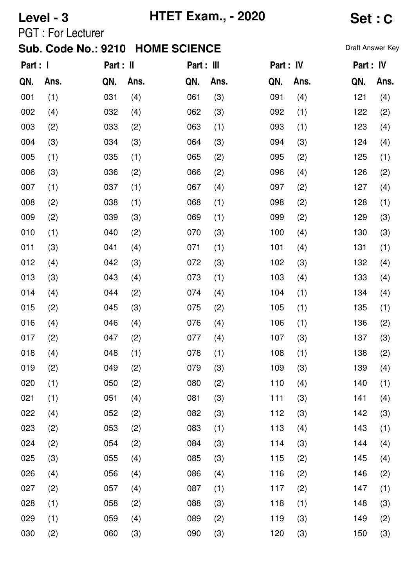## **Level - 3 HTET Exam., - 2020 Set : C**

PGT : For Lecturer

| Part : I |      | Part : II |      | Part : III |      | Part : IV |      | Part : IV |      |
|----------|------|-----------|------|------------|------|-----------|------|-----------|------|
| QN.      | Ans. | QN.       | Ans. | QN.        | Ans. | QN.       | Ans. | QN.       | Ans. |
| 001      | (1)  | 031       | (4)  | 061        | (3)  | 091       | (4)  | 121       | (4)  |
| 002      | (4)  | 032       | (4)  | 062        | (3)  | 092       | (1)  | 122       | (2)  |
| 003      | (2)  | 033       | (2)  | 063        | (1)  | 093       | (1)  | 123       | (4)  |
| 004      | (3)  | 034       | (3)  | 064        | (3)  | 094       | (3)  | 124       | (4)  |
| 005      | (1)  | 035       | (1)  | 065        | (2)  | 095       | (2)  | 125       | (1)  |
| 006      | (3)  | 036       | (2)  | 066        | (2)  | 096       | (4)  | 126       | (2)  |
| 007      | (1)  | 037       | (1)  | 067        | (4)  | 097       | (2)  | 127       | (4)  |
| 008      | (2)  | 038       | (1)  | 068        | (1)  | 098       | (2)  | 128       | (1)  |
| 009      | (2)  | 039       | (3)  | 069        | (1)  | 099       | (2)  | 129       | (3)  |
| 010      | (1)  | 040       | (2)  | 070        | (3)  | 100       | (4)  | 130       | (3)  |
| 011      | (3)  | 041       | (4)  | 071        | (1)  | 101       | (4)  | 131       | (1)  |
| 012      | (4)  | 042       | (3)  | 072        | (3)  | 102       | (3)  | 132       | (4)  |
| 013      | (3)  | 043       | (4)  | 073        | (1)  | 103       | (4)  | 133       | (4)  |
| 014      | (4)  | 044       | (2)  | 074        | (4)  | 104       | (1)  | 134       | (4)  |
| 015      | (2)  | 045       | (3)  | 075        | (2)  | 105       | (1)  | 135       | (1)  |
| 016      | (4)  | 046       | (4)  | 076        | (4)  | 106       | (1)  | 136       | (2)  |
| 017      | (2)  | 047       | (2)  | 077        | (4)  | 107       | (3)  | 137       | (3)  |
| 018      | (4)  | 048       | (1)  | 078        | (1)  | 108       | (1)  | 138       | (2)  |
| 019      | (2)  | 049       | (2)  | 079        | (3)  | 109       | (3)  | 139       | (4)  |
| 020      | (1)  | 050       | (2)  | 080        | (2)  | 110       | (4)  | 140       | (1)  |
| 021      | (1)  | 051       | (4)  | 081        | (3)  | 111       | (3)  | 141       | (4)  |
| 022      | (4)  | 052       | (2)  | 082        | (3)  | 112       | (3)  | 142       | (3)  |
| 023      | (2)  | 053       | (2)  | 083        | (1)  | 113       | (4)  | 143       | (1)  |
| 024      | (2)  | 054       | (2)  | 084        | (3)  | 114       | (3)  | 144       | (4)  |
| 025      | (3)  | 055       | (4)  | 085        | (3)  | 115       | (2)  | 145       | (4)  |
| 026      | (4)  | 056       | (4)  | 086        | (4)  | 116       | (2)  | 146       | (2)  |
| 027      | (2)  | 057       | (4)  | 087        | (1)  | 117       | (2)  | 147       | (1)  |
| 028      | (1)  | 058       | (2)  | 088        | (3)  | 118       | (1)  | 148       | (3)  |
| 029      | (1)  | 059       | (4)  | 089        | (2)  | 119       | (3)  | 149       | (2)  |
| 030      | (2)  | 060       | (3)  | 090        | (3)  | 120       | (3)  | 150       | (3)  |